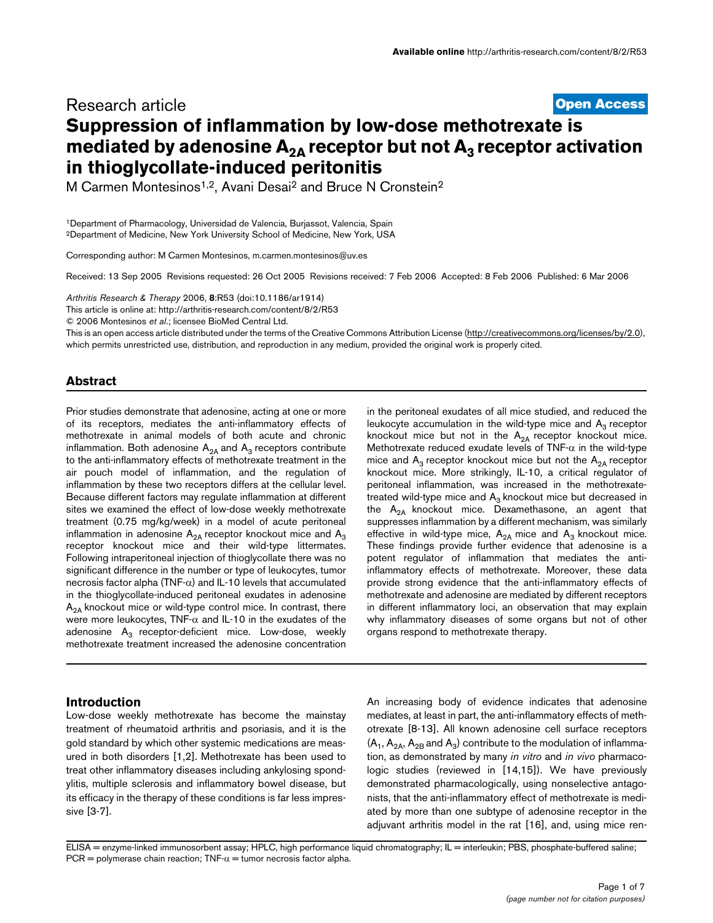# **[Open Access](http://www.biomedcentral.com/info/about/charter/)** Research article **Suppression of inflammation by low-dose methotrexate is mediated by adenosine A<sub>2A</sub> receptor but not A<sub>3</sub> receptor activation in thioglycollate-induced peritonitis**

M Carmen Montesinos1,2, Avani Desai2 and Bruce N Cronstein2

1Department of Pharmacology, Universidad de Valencia, Burjassot, Valencia, Spain 2Department of Medicine, New York University School of Medicine, New York, USA

Corresponding author: M Carmen Montesinos, m.carmen.montesinos@uv.es

Received: 13 Sep 2005 Revisions requested: 26 Oct 2005 Revisions received: 7 Feb 2006 Accepted: 8 Feb 2006 Published: 6 Mar 2006

*Arthritis Research & Therapy* 2006, **8**:R53 (doi:10.1186/ar1914)

[This article is online at: http://arthritis-research.com/content/8/2/R53](http://arthritis-research.com/content/8/2/R53)

© 2006 Montesinos *et al*.; licensee BioMed Central Ltd.

This is an open access article distributed under the terms of the Creative Commons Attribution License [\(http://creativecommons.org/licenses/by/2.0\)](http://creativecommons.org/licenses/by/2.0), which permits unrestricted use, distribution, and reproduction in any medium, provided the original work is properly cited.

## **Abstract**

Prior studies demonstrate that adenosine, acting at one or more of its receptors, mediates the anti-inflammatory effects of methotrexate in animal models of both acute and chronic inflammation. Both adenosine  $A_{2A}$  and  $A_3$  receptors contribute to the anti-inflammatory effects of methotrexate treatment in the air pouch model of inflammation, and the regulation of inflammation by these two receptors differs at the cellular level. Because different factors may regulate inflammation at different sites we examined the effect of low-dose weekly methotrexate treatment (0.75 mg/kg/week) in a model of acute peritoneal inflammation in adenosine  $A_{2A}$  receptor knockout mice and  $A_3$ receptor knockout mice and their wild-type littermates. Following intraperitoneal injection of thioglycollate there was no significant difference in the number or type of leukocytes, tumor necrosis factor alpha (TNF-α) and IL-10 levels that accumulated in the thioglycollate-induced peritoneal exudates in adenosine  $A<sub>2A</sub>$  knockout mice or wild-type control mice. In contrast, there were more leukocytes, TNF- $α$  and IL-10 in the exudates of the adenosine  $A_3$  receptor-deficient mice. Low-dose, weekly methotrexate treatment increased the adenosine concentration

## **Introduction**

Low-dose weekly methotrexate has become the mainstay treatment of rheumatoid arthritis and psoriasis, and it is the gold standard by which other systemic medications are measured in both disorders [1,2]. Methotrexate has been used to treat other inflammatory diseases including ankylosing spondylitis, multiple sclerosis and inflammatory bowel disease, but its efficacy in the therapy of these conditions is far less impressive [3-7].

in the peritoneal exudates of all mice studied, and reduced the leukocyte accumulation in the wild-type mice and  $A_3$  receptor knockout mice but not in the  $A_{2A}$  receptor knockout mice. Methotrexate reduced exudate levels of TNF- $\alpha$  in the wild-type mice and  $A_3$  receptor knockout mice but not the  $A_{2A}$  receptor knockout mice. More strikingly, IL-10, a critical regulator of peritoneal inflammation, was increased in the methotrexatetreated wild-type mice and  $A_3$  knockout mice but decreased in the  $A_{2A}$  knockout mice. Dexamethasone, an agent that suppresses inflammation by a different mechanism, was similarly effective in wild-type mice,  $A_{2A}$  mice and  $A_3$  knockout mice. These findings provide further evidence that adenosine is a potent regulator of inflammation that mediates the antiinflammatory effects of methotrexate. Moreover, these data provide strong evidence that the anti-inflammatory effects of methotrexate and adenosine are mediated by different receptors in different inflammatory loci, an observation that may explain why inflammatory diseases of some organs but not of other organs respond to methotrexate therapy.

An increasing body of evidence indicates that adenosine mediates, at least in part, the anti-inflammatory effects of methotrexate [8-13]. All known adenosine cell surface receptors  $(A_1, A_{2A}, A_{2B}$  and  $A_3)$  contribute to the modulation of inflammation, as demonstrated by many *in vitro* and *in vivo* pharmacologic studies (reviewed in [14,15]). We have previously demonstrated pharmacologically, using nonselective antagonists, that the anti-inflammatory effect of methotrexate is mediated by more than one subtype of adenosine receptor in the adjuvant arthritis model in the rat [16], and, using mice ren-

ELISA = enzyme-linked immunosorbent assay; HPLC, high performance liquid chromatography; IL = interleukin; PBS, phosphate-buffered saline; PCR = polymerase chain reaction;  $TNF - \alpha$  = tumor necrosis factor alpha.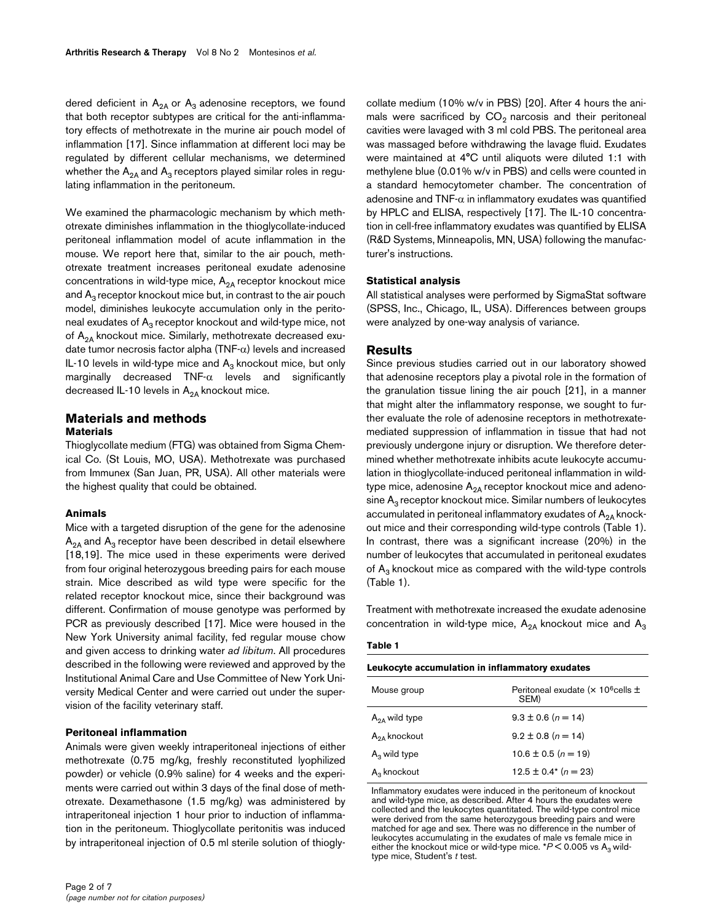dered deficient in  $A_{2A}$  or  $A_3$  adenosine receptors, we found that both receptor subtypes are critical for the anti-inflammatory effects of methotrexate in the murine air pouch model of inflammation [17]. Since inflammation at different loci may be regulated by different cellular mechanisms, we determined whether the  $A_{2A}$  and  $A_3$  receptors played similar roles in regulating inflammation in the peritoneum.

We examined the pharmacologic mechanism by which methotrexate diminishes inflammation in the thioglycollate-induced peritoneal inflammation model of acute inflammation in the mouse. We report here that, similar to the air pouch, methotrexate treatment increases peritoneal exudate adenosine concentrations in wild-type mice,  $A_{2A}$  receptor knockout mice and  $A_3$  receptor knockout mice but, in contrast to the air pouch model, diminishes leukocyte accumulation only in the peritoneal exudates of  $A_3$  receptor knockout and wild-type mice, not of  $A_{2A}$  knockout mice. Similarly, methotrexate decreased exudate tumor necrosis factor alpha (TNF- $\alpha$ ) levels and increased IL-10 levels in wild-type mice and  $A_3$  knockout mice, but only marginally decreased  $TNF-\alpha$  levels and significantly decreased IL-10 levels in  $A_{2A}$  knockout mice.

## **Materials and methods Materials**

Thioglycollate medium (FTG) was obtained from Sigma Chemical Co. (St Louis, MO, USA). Methotrexate was purchased from Immunex (San Juan, PR, USA). All other materials were the highest quality that could be obtained.

#### **Animals**

Mice with a targeted disruption of the gene for the adenosine  $A_{2A}$  and  $A_{3}$  receptor have been described in detail elsewhere [18,19]. The mice used in these experiments were derived from four original heterozygous breeding pairs for each mouse strain. Mice described as wild type were specific for the related receptor knockout mice, since their background was different. Confirmation of mouse genotype was performed by PCR as previously described [17]. Mice were housed in the New York University animal facility, fed regular mouse chow and given access to drinking water *ad libitum*. All procedures described in the following were reviewed and approved by the Institutional Animal Care and Use Committee of New York University Medical Center and were carried out under the supervision of the facility veterinary staff.

#### **Peritoneal inflammation**

Animals were given weekly intraperitoneal injections of either methotrexate (0.75 mg/kg, freshly reconstituted lyophilized powder) or vehicle (0.9% saline) for 4 weeks and the experiments were carried out within 3 days of the final dose of methotrexate. Dexamethasone (1.5 mg/kg) was administered by intraperitoneal injection 1 hour prior to induction of inflammation in the peritoneum. Thioglycollate peritonitis was induced by intraperitoneal injection of 0.5 ml sterile solution of thioglycollate medium (10% w/v in PBS) [20]. After 4 hours the animals were sacrificed by  $CO<sub>2</sub>$  narcosis and their peritoneal cavities were lavaged with 3 ml cold PBS. The peritoneal area was massaged before withdrawing the lavage fluid. Exudates were maintained at 4°C until aliquots were diluted 1:1 with methylene blue (0.01% w/v in PBS) and cells were counted in a standard hemocytometer chamber. The concentration of adenosine and  $TNF-\alpha$  in inflammatory exudates was quantified by HPLC and ELISA, respectively [17]. The IL-10 concentration in cell-free inflammatory exudates was quantified by ELISA (R&D Systems, Minneapolis, MN, USA) following the manufacturer's instructions.

## **Statistical analysis**

All statistical analyses were performed by SigmaStat software (SPSS, Inc., Chicago, IL, USA). Differences between groups were analyzed by one-way analysis of variance.

## **Results**

Since previous studies carried out in our laboratory showed that adenosine receptors play a pivotal role in the formation of the granulation tissue lining the air pouch [21], in a manner that might alter the inflammatory response, we sought to further evaluate the role of adenosine receptors in methotrexatemediated suppression of inflammation in tissue that had not previously undergone injury or disruption. We therefore determined whether methotrexate inhibits acute leukocyte accumulation in thioglycollate-induced peritoneal inflammation in wildtype mice, adenosine  $A_{2A}$  receptor knockout mice and adenosine  $A_3$  receptor knockout mice. Similar numbers of leukocytes accumulated in peritoneal inflammatory exudates of  $A_{2A}$  knockout mice and their corresponding wild-type controls (Table 1). In contrast, there was a significant increase (20%) in the number of leukocytes that accumulated in peritoneal exudates of  $A_3$  knockout mice as compared with the wild-type controls (Table 1).

Treatment with methotrexate increased the exudate adenosine concentration in wild-type mice,  $A_{2A}$  knockout mice and  $A_3$ 

#### **Table 1**

| Leukocyte accumulation in inflammatory exudates |                                                       |  |  |
|-------------------------------------------------|-------------------------------------------------------|--|--|
| Mouse group                                     | Peritoneal exudate (x 10 <sup>6</sup> cells ±<br>SEM) |  |  |
| $A_{2A}$ wild type                              | $9.3 \pm 0.6$ (n = 14)                                |  |  |
| $A_{2A}$ knockout                               | $9.2 \pm 0.8$ (n = 14)                                |  |  |
| $A_3$ wild type                                 | $10.6 \pm 0.5 (n = 19)$                               |  |  |
| $A_3$ knockout                                  | 12.5 $\pm$ 0.4* (n = 23)                              |  |  |

Inflammatory exudates were induced in the peritoneum of knockout and wild-type mice, as described. After 4 hours the exudates were collected and the leukocytes quantitated. The wild-type control mice were derived from the same heterozygous breeding pairs and were matched for age and sex. There was no difference in the number of leukocytes accumulating in the exudates of male vs female mice in either the knockout mice or wild-type mice.  $*P < 0.005$  vs A<sub>3</sub> wildtype mice, Student's *t* test.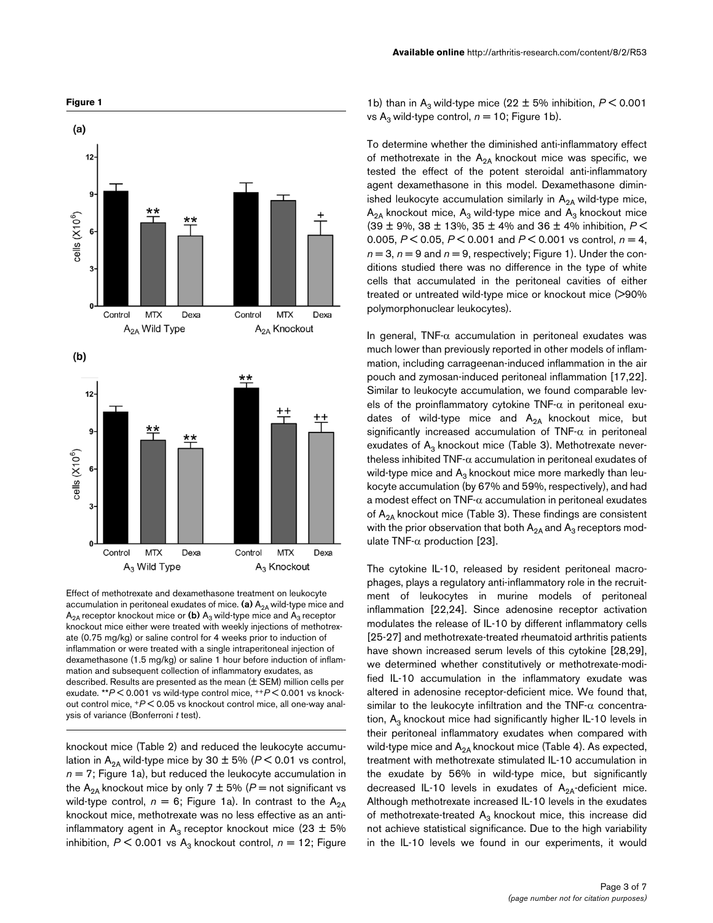

Effect of methotrexate and dexamethasone treatment on leukocyte accumulation in peritoneal exudates of mice. (a) A<sub>2A</sub> wild-type mice and  $A_{2A}$  receptor knockout mice or (b)  $A_3$  wild-type mice and  $A_3$  receptor knockout mice either were treated with weekly injections of methotrexate (0.75 mg/kg) or saline control for 4 weeks prior to induction of inflammation or were treated with a single intraperitoneal injection of dexamethasone (1.5 mg/kg) or saline 1 hour before induction of inflammation and subsequent collection of inflammatory exudates, as described. Results are presented as the mean (± SEM) million cells per exudate. \*\**P* < 0.001 vs wild-type control mice, ++*P* < 0.001 vs knockout control mice, +*P* < 0.05 vs knockout control mice, all one-way analysis of variance (Bonferroni *t* test).

knockout mice (Table 2) and reduced the leukocyte accumulation in A<sub>2A</sub> wild-type mice by 30  $\pm$  5% ( $P$  < 0.01 vs control,  $n = 7$ ; Figure 1a), but reduced the leukocyte accumulation in the A<sub>2A</sub> knockout mice by only 7  $\pm$  5% (P = not significant vs wild-type control,  $n = 6$ ; Figure 1a). In contrast to the  $A_{2A}$ knockout mice, methotrexate was no less effective as an antiinflammatory agent in  $A_3$  receptor knockout mice (23  $\pm$  5% inhibition,  $P \le 0.001$  vs A<sub>3</sub> knockout control,  $n = 12$ ; Figure

1b) than in A<sub>3</sub> wild-type mice (22  $\pm$  5% inhibition,  $P \le 0.001$ vs A<sub>3</sub> wild-type control,  $n = 10$ ; Figure 1b).

To determine whether the diminished anti-inflammatory effect of methotrexate in the  $A_{2A}$  knockout mice was specific, we tested the effect of the potent steroidal anti-inflammatory agent dexamethasone in this model. Dexamethasone diminished leukocyte accumulation similarly in  $A_{2A}$  wild-type mice,  $A_{2A}$  knockout mice,  $A_3$  wild-type mice and  $A_3$  knockout mice (39 ± 9%, 38 ± 13%, 35 ± 4% and 36 ± 4% inhibition, *P* < 0.005, *P* < 0.05, *P* < 0.001 and *P* < 0.001 vs control, *n* = 4,  $n = 3$ ,  $n = 9$  and  $n = 9$ , respectively; Figure 1). Under the conditions studied there was no difference in the type of white cells that accumulated in the peritoneal cavities of either treated or untreated wild-type mice or knockout mice (>90% polymorphonuclear leukocytes).

In general, TNF- $\alpha$  accumulation in peritoneal exudates was much lower than previously reported in other models of inflammation, including carrageenan-induced inflammation in the air pouch and zymosan-induced peritoneal inflammation [17,22]. Similar to leukocyte accumulation, we found comparable levels of the proinflammatory cytokine TNF- $\alpha$  in peritoneal exudates of wild-type mice and  $A_{2A}$  knockout mice, but significantly increased accumulation of  $TNF-\alpha$  in peritoneal exudates of  $A_3$  knockout mice (Table 3). Methotrexate nevertheless inhibited TNF- $\alpha$  accumulation in peritoneal exudates of wild-type mice and  $A_3$  knockout mice more markedly than leukocyte accumulation (by 67% and 59%, respectively), and had a modest effect on TNF-α accumulation in peritoneal exudates of  $A_{2A}$  knockout mice (Table 3). These findings are consistent with the prior observation that both  $A_{2A}$  and  $A_3$  receptors modulate TNF-α production [23].

The cytokine IL-10, released by resident peritoneal macrophages, plays a regulatory anti-inflammatory role in the recruitment of leukocytes in murine models of peritoneal inflammation [22,24]. Since adenosine receptor activation modulates the release of IL-10 by different inflammatory cells [25-27] and methotrexate-treated rheumatoid arthritis patients have shown increased serum levels of this cytokine [28,29], we determined whether constitutively or methotrexate-modified IL-10 accumulation in the inflammatory exudate was altered in adenosine receptor-deficient mice. We found that, similar to the leukocyte infiltration and the TNF- $\alpha$  concentration,  $A_3$  knockout mice had significantly higher IL-10 levels in their peritoneal inflammatory exudates when compared with wild-type mice and  $A_{2A}$  knockout mice (Table 4). As expected, treatment with methotrexate stimulated IL-10 accumulation in the exudate by 56% in wild-type mice, but significantly decreased IL-10 levels in exudates of  $A_{2A}$ -deficient mice. Although methotrexate increased IL-10 levels in the exudates of methotrexate-treated  $A_3$  knockout mice, this increase did not achieve statistical significance. Due to the high variability in the IL-10 levels we found in our experiments, it would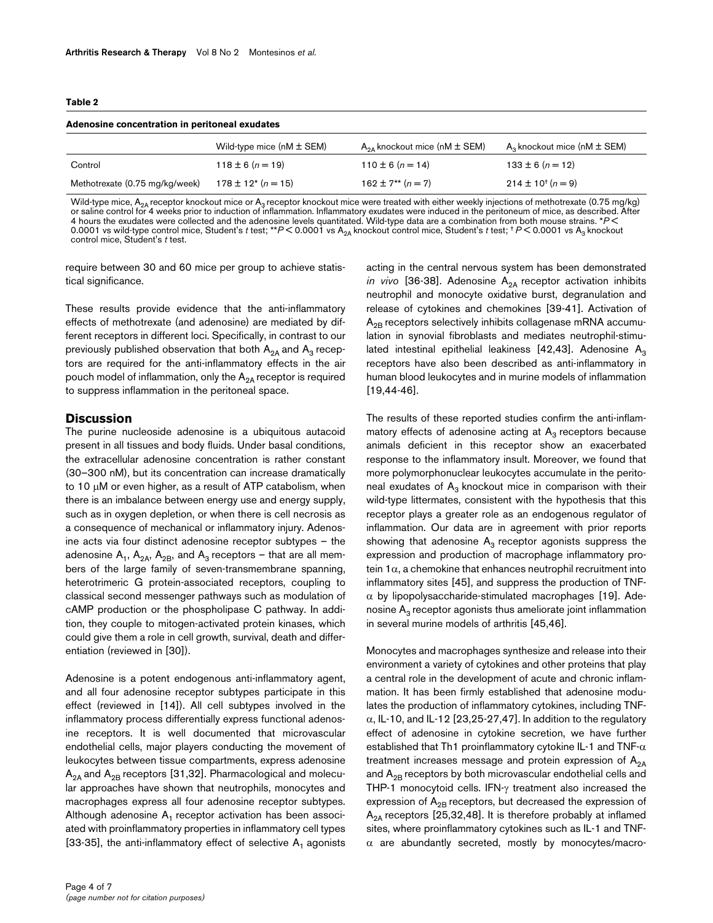#### **Table 2**

| Adenosine concentration in peritoneal exudates |                                      |                                       |                                    |  |  |
|------------------------------------------------|--------------------------------------|---------------------------------------|------------------------------------|--|--|
|                                                | Wild-type mice ( $nM \pm SEM$ )      | $A_{2A}$ knockout mice (nM $\pm$ SEM) | $A_3$ knockout mice (nM $\pm$ SEM) |  |  |
| Control                                        | $118 \pm 6 (n = 19)$                 | $110 \pm 6 (n = 14)$                  | $133 \pm 6 (n = 12)$               |  |  |
| Methotrexate (0.75 mg/kg/week)                 | $178 \pm 12$ <sup>*</sup> $(n = 15)$ | $162 \pm 7^{**} (n = 7)$              | $214 \pm 10^{+} (n=9)$             |  |  |

Wild-type mice, A<sub>2A</sub> receptor knockout mice or A<sub>3</sub> receptor knockout mice were treated with either weekly injections of methotrexate (0.75 mg/kg) or saline control for 4 weeks prior to induction of inflammation. Inflammatory exudates were induced in the peritoneum of mice, as described. After<br>4 hours the exudates were collected and the adenosine levels quantitated. control mice, Student's *t* test.

require between 30 and 60 mice per group to achieve statistical significance.

These results provide evidence that the anti-inflammatory effects of methotrexate (and adenosine) are mediated by different receptors in different loci. Specifically, in contrast to our previously published observation that both  $A_{2A}$  and  $A_3$  receptors are required for the anti-inflammatory effects in the air pouch model of inflammation, only the  $A_{2A}$  receptor is required to suppress inflammation in the peritoneal space.

### **Discussion**

The purine nucleoside adenosine is a ubiquitous autacoid present in all tissues and body fluids. Under basal conditions, the extracellular adenosine concentration is rather constant (30–300 nM), but its concentration can increase dramatically to 10 µM or even higher, as a result of ATP catabolism, when there is an imbalance between energy use and energy supply, such as in oxygen depletion, or when there is cell necrosis as a consequence of mechanical or inflammatory injury. Adenosine acts via four distinct adenosine receptor subtypes – the adenosine  $A_1$ ,  $A_{2A}$ ,  $A_{2B}$ , and  $A_3$  receptors – that are all members of the large family of seven-transmembrane spanning, heterotrimeric G protein-associated receptors, coupling to classical second messenger pathways such as modulation of cAMP production or the phospholipase C pathway. In addition, they couple to mitogen-activated protein kinases, which could give them a role in cell growth, survival, death and differentiation (reviewed in [30]).

Adenosine is a potent endogenous anti-inflammatory agent, and all four adenosine receptor subtypes participate in this effect (reviewed in [14]). All cell subtypes involved in the inflammatory process differentially express functional adenosine receptors. It is well documented that microvascular endothelial cells, major players conducting the movement of leukocytes between tissue compartments, express adenosine  $A_{2A}$  and  $A_{2B}$  receptors [31,32]. Pharmacological and molecular approaches have shown that neutrophils, monocytes and macrophages express all four adenosine receptor subtypes. Although adenosine  $A_1$  receptor activation has been associated with proinflammatory properties in inflammatory cell types [33-35], the anti-inflammatory effect of selective  $A_1$  agonists acting in the central nervous system has been demonstrated *in vivo* [36-38]. Adenosine  $A_{2A}$  receptor activation inhibits neutrophil and monocyte oxidative burst, degranulation and release of cytokines and chemokines [39-41]. Activation of  $A_{2B}$  receptors selectively inhibits collagenase mRNA accumulation in synovial fibroblasts and mediates neutrophil-stimulated intestinal epithelial leakiness [42,43]. Adenosine  $A_3$ receptors have also been described as anti-inflammatory in human blood leukocytes and in murine models of inflammation [19,44-46].

The results of these reported studies confirm the anti-inflammatory effects of adenosine acting at  $A_3$  receptors because animals deficient in this receptor show an exacerbated response to the inflammatory insult. Moreover, we found that more polymorphonuclear leukocytes accumulate in the peritoneal exudates of  $A_3$  knockout mice in comparison with their wild-type littermates, consistent with the hypothesis that this receptor plays a greater role as an endogenous regulator of inflammation. Our data are in agreement with prior reports showing that adenosine  $A_3$  receptor agonists suppress the expression and production of macrophage inflammatory protein  $1\alpha$ , a chemokine that enhances neutrophil recruitment into inflammatory sites [45], and suppress the production of TNF- $\alpha$  by lipopolysaccharide-stimulated macrophages [19]. Adenosine  $A_3$  receptor agonists thus ameliorate joint inflammation in several murine models of arthritis [45,46].

Monocytes and macrophages synthesize and release into their environment a variety of cytokines and other proteins that play a central role in the development of acute and chronic inflammation. It has been firmly established that adenosine modulates the production of inflammatory cytokines, including TNF- $\alpha$ , IL-10, and IL-12 [23,25-27,47]. In addition to the regulatory effect of adenosine in cytokine secretion, we have further established that Th1 proinflammatory cytokine IL-1 and TNF- $\alpha$ treatment increases message and protein expression of  $A_{2A}$ and  $A_{2B}$  receptors by both microvascular endothelial cells and THP-1 monocytoid cells. IFN-γ treatment also increased the expression of  $A_{2B}$  receptors, but decreased the expression of  $A_{2A}$  receptors [25,32,48]. It is therefore probably at inflamed sites, where proinflammatory cytokines such as IL-1 and TNF- $\alpha$  are abundantly secreted, mostly by monocytes/macro-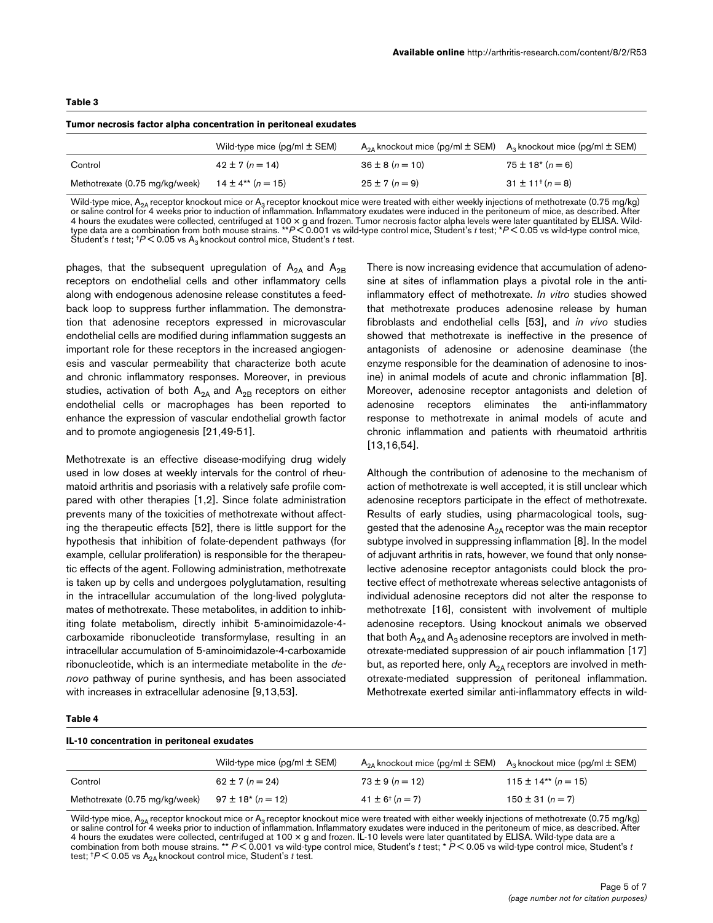| Tumor necrosis factor alpha concentration in peritoneal exudates |                                     |                                          |                                       |  |  |
|------------------------------------------------------------------|-------------------------------------|------------------------------------------|---------------------------------------|--|--|
|                                                                  | Wild-type mice $(pq/ml \pm SEM)$    | $A_{24}$ knockout mice (pg/ml $\pm$ SEM) | $A_3$ knockout mice (pg/ml $\pm$ SEM) |  |  |
| Control                                                          | $42 \pm 7 (n = 14)$                 | $36 \pm 8$ ( $n = 10$ )                  | $75 \pm 18$ <sup>*</sup> (n = 6)      |  |  |
| Methotrexate (0.75 mg/kg/week)                                   | $14 \pm 4$ <sup>**</sup> $(n = 15)$ | $25 \pm 7$ (n = 9)                       | $31 \pm 11^{+}(n=8)$                  |  |  |

Wild-type mice, A<sub>2A</sub> receptor knockout mice or A<sub>3</sub> receptor knockout mice were treated with either weekly injections of methotrexate (0.75 mg/kg) or saline control for 4 weeks prior to induction of inflammation. Inflammatory exudates were induced in the peritoneum of mice, as described. After 4 hours the exudates were collected, centrifuged at 100 × g and frozen. Tumor necrosis factor alpha levels were later quantitated by ELISA. Wild-<br>type data are a combination from both mouse strains. \*\*P<0.001 vs wild-type Student's *t* test;  $P$  < 0.05 vs A<sub>3</sub> knockout control mice, Student's *t* test.

phages, that the subsequent upregulation of  $A_{2A}$  and  $A_{2B}$ receptors on endothelial cells and other inflammatory cells along with endogenous adenosine release constitutes a feedback loop to suppress further inflammation. The demonstration that adenosine receptors expressed in microvascular endothelial cells are modified during inflammation suggests an important role for these receptors in the increased angiogenesis and vascular permeability that characterize both acute and chronic inflammatory responses. Moreover, in previous studies, activation of both  $A_{2A}$  and  $A_{2B}$  receptors on either endothelial cells or macrophages has been reported to enhance the expression of vascular endothelial growth factor and to promote angiogenesis [21,49-51].

Methotrexate is an effective disease-modifying drug widely used in low doses at weekly intervals for the control of rheumatoid arthritis and psoriasis with a relatively safe profile compared with other therapies [1,2]. Since folate administration prevents many of the toxicities of methotrexate without affecting the therapeutic effects [52], there is little support for the hypothesis that inhibition of folate-dependent pathways (for example, cellular proliferation) is responsible for the therapeutic effects of the agent. Following administration, methotrexate is taken up by cells and undergoes polyglutamation, resulting in the intracellular accumulation of the long-lived polyglutamates of methotrexate. These metabolites, in addition to inhibiting folate metabolism, directly inhibit 5-aminoimidazole-4 carboxamide ribonucleotide transformylase, resulting in an intracellular accumulation of 5-aminoimidazole-4-carboxamide ribonucleotide, which is an intermediate metabolite in the *denovo* pathway of purine synthesis, and has been associated with increases in extracellular adenosine [9,13,53].

There is now increasing evidence that accumulation of adenosine at sites of inflammation plays a pivotal role in the antiinflammatory effect of methotrexate. *In vitro* studies showed that methotrexate produces adenosine release by human fibroblasts and endothelial cells [53], and *in vivo* studies showed that methotrexate is ineffective in the presence of antagonists of adenosine or adenosine deaminase (the enzyme responsible for the deamination of adenosine to inosine) in animal models of acute and chronic inflammation [8]. Moreover, adenosine receptor antagonists and deletion of adenosine receptors eliminates the anti-inflammatory response to methotrexate in animal models of acute and chronic inflammation and patients with rheumatoid arthritis [13,16,54].

Although the contribution of adenosine to the mechanism of action of methotrexate is well accepted, it is still unclear which adenosine receptors participate in the effect of methotrexate. Results of early studies, using pharmacological tools, suggested that the adenosine  $A_{2A}$  receptor was the main receptor subtype involved in suppressing inflammation [8]. In the model of adjuvant arthritis in rats, however, we found that only nonselective adenosine receptor antagonists could block the protective effect of methotrexate whereas selective antagonists of individual adenosine receptors did not alter the response to methotrexate [16], consistent with involvement of multiple adenosine receptors. Using knockout animals we observed that both  $A_{2A}$  and  $A_3$  adenosine receptors are involved in methotrexate-mediated suppression of air pouch inflammation [17] but, as reported here, only  $A_{2A}$  receptors are involved in methotrexate-mediated suppression of peritoneal inflammation. Methotrexate exerted similar anti-inflammatory effects in wild-

#### **Table 4**

**Table 3**

#### **IL-10 concentration in peritoneal exudates**

|                                | Wild-type mice $(pq/ml \pm SEM)$  | $A_{24}$ knockout mice (pg/ml $\pm$ SEM) $A_3$ knockout mice (pg/ml $\pm$ SEM) |                       |
|--------------------------------|-----------------------------------|--------------------------------------------------------------------------------|-----------------------|
| Control                        | 62 ± 7 $(n = 24)$                 | $73 \pm 9$ (n = 12)                                                            | 115 ± 14** $(n = 15)$ |
| Methotrexate (0.75 mg/kg/week) | $97 \pm 18$ <sup>*</sup> (n = 12) | $41 \pm 6^{+} (n = 7)$                                                         | $150 \pm 31 (n = 7)$  |

Wild-type mice,  $A_{2A}$  receptor knockout mice or  $A_3$  receptor knockout mice were treated with either weekly injections of methotrexate (0.75 mg/kg) or saline control for 4 weeks prior to induction of inflammation. Inflammatory exudates were induced in the peritoneum of mice, as described. After 4 hours the exudates were collected, centrifuged at 100 × g and frozen. IL-10 levels were later quantitated by ELISA. Wild-type data are a<br>combination from both mouse strains. \*\* P<0.001 vs wild-type control mice, Student' test; <sup>+</sup> $P$  < 0.05 vs A<sub>2A</sub> knockout control mice, Student's *t* test.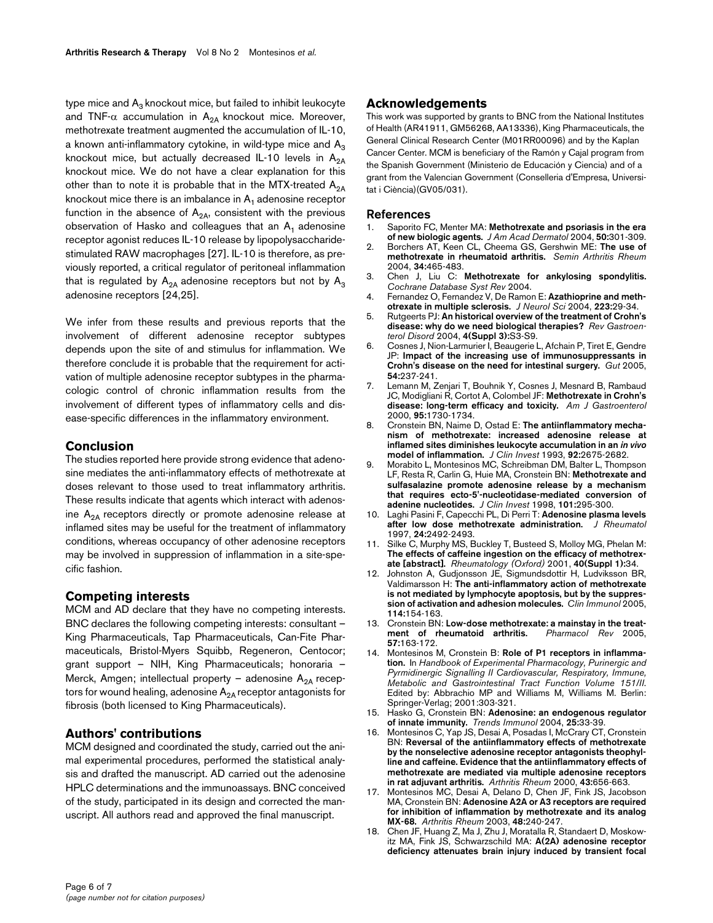type mice and  $A_3$  knockout mice, but failed to inhibit leukocyte and TNF- $\alpha$  accumulation in A<sub>2A</sub> knockout mice. Moreover, methotrexate treatment augmented the accumulation of IL-10, a known anti-inflammatory cytokine, in wild-type mice and  $A_3$ knockout mice, but actually decreased IL-10 levels in  $A_{2A}$ knockout mice. We do not have a clear explanation for this other than to note it is probable that in the MTX-treated  $A_{2A}$ knockout mice there is an imbalance in  $A_1$  adenosine receptor function in the absence of  $A_{2A}$ , consistent with the previous observation of Hasko and colleagues that an  $A_1$  adenosine receptor agonist reduces IL-10 release by lipopolysaccharidestimulated RAW macrophages [27]. IL-10 is therefore, as previously reported, a critical regulator of peritoneal inflammation that is regulated by  $A_{2A}$  adenosine receptors but not by  $A_3$ adenosine receptors [24,25].

We infer from these results and previous reports that the involvement of different adenosine receptor subtypes depends upon the site of and stimulus for inflammation. We therefore conclude it is probable that the requirement for activation of multiple adenosine receptor subtypes in the pharmacologic control of chronic inflammation results from the involvement of different types of inflammatory cells and disease-specific differences in the inflammatory environment.

## **Conclusion**

The studies reported here provide strong evidence that adenosine mediates the anti-inflammatory effects of methotrexate at doses relevant to those used to treat inflammatory arthritis. These results indicate that agents which interact with adenosine  $A_{2A}$  receptors directly or promote adenosine release at inflamed sites may be useful for the treatment of inflammatory conditions, whereas occupancy of other adenosine receptors may be involved in suppression of inflammation in a site-specific fashion.

## **Competing interests**

MCM and AD declare that they have no competing interests. BNC declares the following competing interests: consultant – King Pharmaceuticals, Tap Pharmaceuticals, Can-Fite Pharmaceuticals, Bristol-Myers Squibb, Regeneron, Centocor; grant support – NIH, King Pharmaceuticals; honoraria – Merck, Amgen; intellectual property – adenosine  $A_{2A}$  receptors for wound healing, adenosine  $A_{2A}$  receptor antagonists for fibrosis (both licensed to King Pharmaceuticals).

## **Authors' contributions**

MCM designed and coordinated the study, carried out the animal experimental procedures, performed the statistical analysis and drafted the manuscript. AD carried out the adenosine HPLC determinations and the immunoassays. BNC conceived of the study, participated in its design and corrected the manuscript. All authors read and approved the final manuscript.

## **Acknowledgements**

This work was supported by grants to BNC from the National Institutes of Health (AR41911, GM56268, AA13336), King Pharmaceuticals, the General Clinical Research Center (M01RR00096) and by the Kaplan Cancer Center. MCM is beneficiary of the Ramón y Cajal program from the Spanish Government (Ministerio de Educación y Ciencia) and of a grant from the Valencian Government (Conselleria d'Empresa, Universitat i Ciència)(GV05/031).

#### **References**

- 1. Saporito FC, Menter MA: **[Methotrexate and psoriasis in the era](http://www.ncbi.nlm.nih.gov/entrez/query.fcgi?cmd=Retrieve&db=PubMed&dopt=Abstract&list_uids=14726893) [of new biologic agents.](http://www.ncbi.nlm.nih.gov/entrez/query.fcgi?cmd=Retrieve&db=PubMed&dopt=Abstract&list_uids=14726893)** *J Am Acad Dermatol* 2004, **50:**301-309.
- 2. Borchers AT, Keen CL, Cheema GS, Gershwin ME: **[The use of](http://www.ncbi.nlm.nih.gov/entrez/query.fcgi?cmd=Retrieve&db=PubMed&dopt=Abstract&list_uids=15305245) [methotrexate in rheumatoid arthritis.](http://www.ncbi.nlm.nih.gov/entrez/query.fcgi?cmd=Retrieve&db=PubMed&dopt=Abstract&list_uids=15305245)** *Semin Arthritis Rheum* 2004, **34:**465-483.
- 3. Chen J, Liu C: **Methotrexate for ankylosing spondylitis.** *Cochrane Database Syst Rev* 2004.
- 4. Fernandez O, Fernandez V, De Ramon E: **[Azathioprine and meth](http://www.ncbi.nlm.nih.gov/entrez/query.fcgi?cmd=Retrieve&db=PubMed&dopt=Abstract&list_uids=15261557)[otrexate in multiple sclerosis.](http://www.ncbi.nlm.nih.gov/entrez/query.fcgi?cmd=Retrieve&db=PubMed&dopt=Abstract&list_uids=15261557)** *J Neurol Sci* 2004, **223:**29-34.
- 5. Rutgeerts PJ: **[An historical overview of the treatment of Crohn's](http://www.ncbi.nlm.nih.gov/entrez/query.fcgi?cmd=Retrieve&db=PubMed&dopt=Abstract&list_uids=15580150) [disease: why do we need biological therapies?](http://www.ncbi.nlm.nih.gov/entrez/query.fcgi?cmd=Retrieve&db=PubMed&dopt=Abstract&list_uids=15580150)** *Rev Gastroenterol Disord* 2004, **4(Suppl 3):**S3-S9.
- 6. Cosnes J, Nion-Larmurier I, Beaugerie L, Afchain P, Tiret E, Gendre JP: **[Impact of the increasing use of immunosuppressants in](http://www.ncbi.nlm.nih.gov/entrez/query.fcgi?cmd=Retrieve&db=PubMed&dopt=Abstract&list_uids=15647188) [Crohn's disease on the need for intestinal surgery.](http://www.ncbi.nlm.nih.gov/entrez/query.fcgi?cmd=Retrieve&db=PubMed&dopt=Abstract&list_uids=15647188)** *Gut* 2005, **54:**237-241.
- Lemann M, Zenjari T, Bouhnik Y, Cosnes J, Mesnard B, Rambaud JC, Modigliani R, Cortot A, Colombel JF: **[Methotrexate in Crohn's](http://www.ncbi.nlm.nih.gov/entrez/query.fcgi?cmd=Retrieve&db=PubMed&dopt=Abstract&list_uids=10925976) [disease: long-term efficacy and toxicity.](http://www.ncbi.nlm.nih.gov/entrez/query.fcgi?cmd=Retrieve&db=PubMed&dopt=Abstract&list_uids=10925976)** *Am J Gastroenterol* 2000, **95:**1730-1734.
- 8. Cronstein BN, Naime D, Ostad E: **The antiinflammatory mechanism of methotrexate: increased adenosine release at inflamed sites diminishes leukocyte accumulation in an** *in vivo* **[model of inflammation.](http://www.ncbi.nlm.nih.gov/entrez/query.fcgi?cmd=Retrieve&db=PubMed&dopt=Abstract&list_uids=8254024)** *J Clin Invest* 1993, **92:**2675-2682.
- 9. Morabito L, Montesinos MC, Schreibman DM, Balter L, Thompson LF, Resta R, Carlin G, Huie MA, Cronstein BN: **[Methotrexate and](http://www.ncbi.nlm.nih.gov/entrez/query.fcgi?cmd=Retrieve&db=PubMed&dopt=Abstract&list_uids=9435300) [sulfasalazine promote adenosine release by a mechanism](http://www.ncbi.nlm.nih.gov/entrez/query.fcgi?cmd=Retrieve&db=PubMed&dopt=Abstract&list_uids=9435300) that requires ecto-5'-nucleotidase-mediated conversion of [adenine nucleotides.](http://www.ncbi.nlm.nih.gov/entrez/query.fcgi?cmd=Retrieve&db=PubMed&dopt=Abstract&list_uids=9435300)** *J Clin Invest* 1998, **101:**295-300.
- 10. Laghi Pasini F, Capecchi PL, Di Perri T: **[Adenosine plasma levels](http://www.ncbi.nlm.nih.gov/entrez/query.fcgi?cmd=Retrieve&db=PubMed&dopt=Abstract&list_uids=9415674) [after low dose methotrexate administration.](http://www.ncbi.nlm.nih.gov/entrez/query.fcgi?cmd=Retrieve&db=PubMed&dopt=Abstract&list_uids=9415674)** *J Rheumatol* 1997, **24:**2492-2493.
- 11. Silke C, Murphy MS, Buckley T, Busteed S, Molloy MG, Phelan M: **The effects of caffeine ingestion on the efficacy of methotrexate [abstract].** *Rheumatology (Oxford)* 2001, **40(Suppl 1):**34.
- 12. Johnston A, Gudjonsson JE, Sigmundsdottir H, Ludviksson BR, Valdimarsson H: **[The anti-inflammatory action of methotrexate](http://www.ncbi.nlm.nih.gov/entrez/query.fcgi?cmd=Retrieve&db=PubMed&dopt=Abstract&list_uids=15639649) [is not mediated by lymphocyte apoptosis, but by the suppres](http://www.ncbi.nlm.nih.gov/entrez/query.fcgi?cmd=Retrieve&db=PubMed&dopt=Abstract&list_uids=15639649)[sion of activation and adhesion molecules.](http://www.ncbi.nlm.nih.gov/entrez/query.fcgi?cmd=Retrieve&db=PubMed&dopt=Abstract&list_uids=15639649)** *Clin Immunol* 2005, **114:**154-163.
- 13. Cronstein BN: **Low-dose methotrexate: a mainstay in the treat-**<br> **ment** of rheumatoid arthritis. Pharmacol Rev 2005.  $ment$  of rheumatoid arthritis. **57:**163-172.
- 14. Montesinos M, Cronstein B: **Role of P1 receptors in inflammation.** In *Handbook of Experimental Pharmacology, Purinergic and Pyrmidinergic Signalling II Cardiovascular, Respiratory, Immune, Metabolic and Gastrointestinal Tract Function Volume 151/II*. Edited by: Abbrachio MP and Williams M, Williams M. Berlin: Springer-Verlag; 2001:303-321.
- 15. Hasko G, Cronstein BN: **[Adenosine: an endogenous regulator](http://www.ncbi.nlm.nih.gov/entrez/query.fcgi?cmd=Retrieve&db=PubMed&dopt=Abstract&list_uids=14698282) [of innate immunity.](http://www.ncbi.nlm.nih.gov/entrez/query.fcgi?cmd=Retrieve&db=PubMed&dopt=Abstract&list_uids=14698282)** *Trends Immunol* 2004, **25:**33-39.
- 16. Montesinos C, Yap JS, Desai A, Posadas I, McCrary CT, Cronstein BN: **[Reversal of the antiinflammatory effects of methotrexate](http://www.ncbi.nlm.nih.gov/entrez/query.fcgi?cmd=Retrieve&db=PubMed&dopt=Abstract&list_uids=10728760) by the nonselective adenosine receptor antagonists theophyl[line and caffeine. Evidence that the antiinflammatory effects of](http://www.ncbi.nlm.nih.gov/entrez/query.fcgi?cmd=Retrieve&db=PubMed&dopt=Abstract&list_uids=10728760) methotrexate are mediated via multiple adenosine receptors [in rat adjuvant arthritis.](http://www.ncbi.nlm.nih.gov/entrez/query.fcgi?cmd=Retrieve&db=PubMed&dopt=Abstract&list_uids=10728760)** *Arthritis Rheum* 2000, **43:**656-663.
- 17. Montesinos MC, Desai A, Delano D, Chen JF, Fink JS, Jacobson MA, Cronstein BN: **[Adenosine A2A or A3 receptors are required](http://www.ncbi.nlm.nih.gov/entrez/query.fcgi?cmd=Retrieve&db=PubMed&dopt=Abstract&list_uids=12528125) [for inhibition of inflammation by methotrexate and its analog](http://www.ncbi.nlm.nih.gov/entrez/query.fcgi?cmd=Retrieve&db=PubMed&dopt=Abstract&list_uids=12528125) [MX-68.](http://www.ncbi.nlm.nih.gov/entrez/query.fcgi?cmd=Retrieve&db=PubMed&dopt=Abstract&list_uids=12528125)** *Arthritis Rheum* 2003, **48:**240-247.
- 18. Chen JF, Huang Z, Ma J, Zhu J, Moratalla R, Standaert D, Moskowitz MA, Fink JS, Schwarzschild MA: **[A\(2A\) adenosine receptor](http://www.ncbi.nlm.nih.gov/entrez/query.fcgi?cmd=Retrieve&db=PubMed&dopt=Abstract&list_uids=10531422) [deficiency attenuates brain injury induced by transient focal](http://www.ncbi.nlm.nih.gov/entrez/query.fcgi?cmd=Retrieve&db=PubMed&dopt=Abstract&list_uids=10531422)**